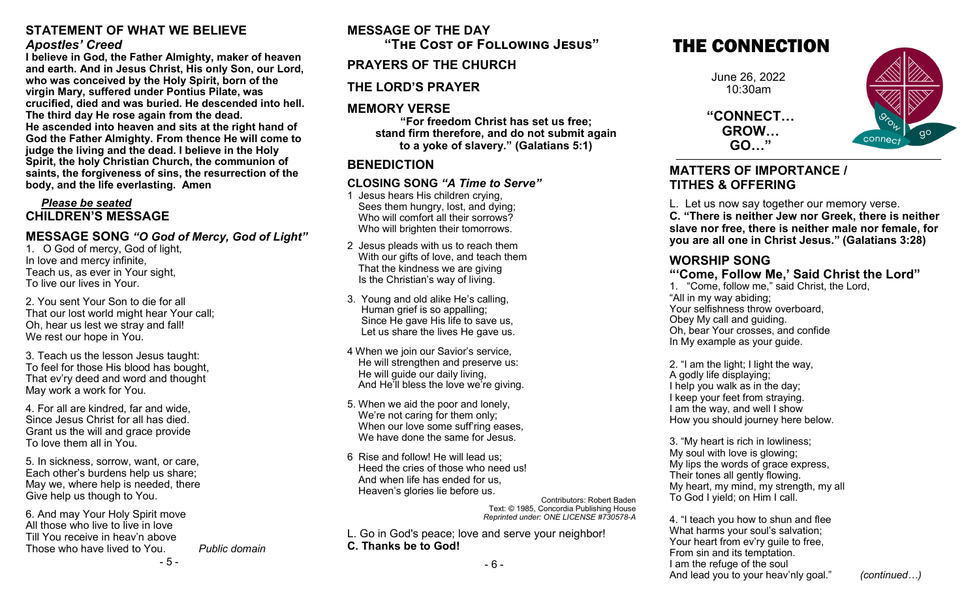### **STATEMENT OF WHAT WE BELIEVE** *Apostles' Creed*

**I believe in God, the Father Almighty, maker of heaven and earth. And in Jesus Christ, His only Son, our Lord, who was conceived by the Holy Spirit, born of the virgin Mary, suffered under Pontius Pilate, was crucified, died and was buried. He descended into hell. The third day He rose again from the dead. He ascended into heaven and sits at the right hand of God the Father Almighty. From thence He will come to judge the living and the dead. I believe in the Holy Spirit, the holy Christian Church, the communion of saints, the forgiveness of sins, the resurrection of the body, and the life everlasting. Amen**

### *Please be seated* **CHILDREN'S MESSAGE**

### **MESSAGE SONG** *"O God of Mercy, God of Light"*

1. O God of mercy, God of light, In love and mercy infinite, Teach us, as ever in Your sight, To live our lives in Your.

2. You sent Your Son to die for all That our lost world might hear Your call; Oh, hear us lest we stray and fall! We rest our hope in You.

3. Teach us the lesson Jesus taught: To feel for those His blood has bought, That ev'ry deed and word and thought May work a work for You.

4. For all are kindred, far and wide, Since Jesus Christ for all has died. Grant us the will and grace provide To love them all in You.

5. In sickness, sorrow, want, or care, Each other's burdens help us share; May we, where help is needed, there Give help us though to You.

- 5 - 6. And may Your Holy Spirit move All those who live to live in love Till You receive in heav'n above Those who have lived to You. *Public domain*

# **MESSAGE OF THE DAY**

**"The Cost of Following Jesus"**

## **PRAYERS OF THE CHURCH**

## **THE LORD'S PRAYER**

## **MEMORY VERSE**

**"For freedom Christ has set us free; stand firm therefore, and do not submit again to a yoke of slavery." (Galatians 5:1)**

## **BENEDICTION**

## **CLOSING SONG** *"A Time to Serve"*

- 1 Jesus hears His children crying, Sees them hungry, lost, and dying; Who will comfort all their sorrows? Who will brighten their tomorrows.
- 2 Jesus pleads with us to reach them With our gifts of love, and teach them That the kindness we are giving Is the Christian's way of living.
- 3. Young and old alike He's calling, Human grief is so appalling; Since He gave His life to save us, Let us share the lives He gave us.
- 4 When we join our Savior's service, He will strengthen and preserve us: He will guide our daily living, And He'll bless the love we're giving.
- 5. When we aid the poor and lonely, We're not caring for them only; When our love some suff'ring eases, We have done the same for Jesus.
- 6 Rise and follow! He will lead us; Heed the cries of those who need us! And when life has ended for us, Heaven's glories lie before us.

Contributors: Robert Baden Text: © 1985, Concordia Publishing House *Reprinted under: ONE LICENSE #730578-A* 

L. Go in God's peace; love and serve your neighbor! **C. Thanks be to God!**

# THE CONNECTION

June 26, 2022 10:30am

**"CONNECT… GROW… GO…"**



### **MATTERS OF IMPORTANCE / TITHES & OFFERING**

L. Let us now say together our memory verse.

**C. "There is neither Jew nor Greek, there is neither slave nor free, there is neither male nor female, for you are all one in Christ Jesus." (Galatians 3:28)**

## **WORSHIP SONG**

### **"'Come, Follow Me,' Said Christ the Lord"**

1. "Come, follow me," said Christ, the Lord, "All in my way abiding; Your selfishness throw overboard, Obey My call and guiding. Oh, bear Your crosses, and confide In My example as your guide.

2. "I am the light; I light the way, A godly life displaying; I help you walk as in the day; I keep your feet from straying. I am the way, and well I show How you should journey here below.

3. "My heart is rich in lowliness; My soul with love is glowing; My lips the words of grace express, Their tones all gently flowing. My heart, my mind, my strength, my all To God I yield; on Him I call.

4. "I teach you how to shun and flee What harms your soul's salvation; Your heart from ev'ry guile to free, From sin and its temptation. I am the refuge of the soul And lead you to your heav'nly goal." *(continued…)*